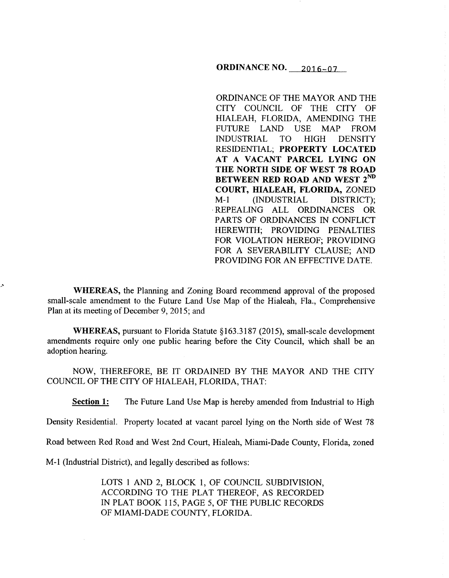#### **ORDINANCE NO.** 2016-07

ORDINANCE OF THE MAYOR AND THE CITY COUNCIL OF THE CITY OF HIALEAH, FLORIDA, AMENDING THE FUTURE LAND USE MAP FROM INDUSTRIAL TO HIGH DENSITY RESIDENTIAL; PROPERTY LOCATED AT A VACANT PARCEL LYING ON THE NORTH SIDE OF WEST 78 ROAD BETWEEN RED ROAD AND WEST 2<sup>ND</sup> COURT, HIALEAH, FLORIDA, ZONED M-1 (INDUSTRIAL DISTRICT); ·REPEALING ALL ORDINANCES OR PARTS OF ORDINANCES IN CONFLICT HEREWITH; PROVIDING PENALTIES FOR VIOLATION HEREOF; PROVIDING FOR A SEVERABILITY CLAUSE; AND PROVIDING FOR AN EFFECTIVE DATE.

WHEREAS, the Planning and Zoning Board recommend approval of the proposed small-scale amendment to the Future Land Use Map of the Hialeah, Fla., Comprehensive Plan at its meeting of December 9, 2015; and

WHEREAS, pursuant to Florida Statute  $\S163.3187$  (2015), small-scale development amendments require only one public hearing before the City Council, which shall be an adoption hearing.

NOW, THEREFORE, BE IT ORDAINED BY THE MAYOR AND THE CITY COUNCIL OF THE CITY OF HIALEAH, FLORIDA, THAT:

Section 1: The Future Land Use Map is hereby amended from Industrial to High

Density Residential. Property located at vacant parcel lying on the North side of West 78

Road between Red Road and West 2nd Court, Hialeah, Miami-Dade County, Florida, zoned

M-1 (Industrial District), and legally described as follows:

··'

LOTS 1 AND 2, BLOCK 1, OF COUNCIL SUBDIVISION, ACCORDING TO THE PLAT THEREOF, AS RECORDED IN PLAT BOOK 115, PAGE 5, OF THE PUBLIC RECORDS OF MIAMI-DADE COUNTY, FLORIDA.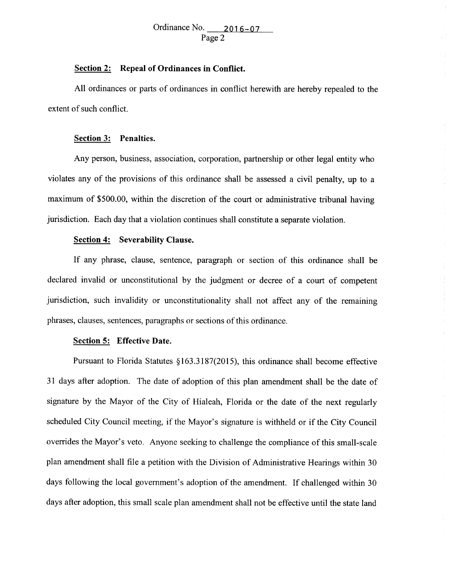# **Section 2: Repeal of Ordinances in Conflict.**

All ordinances or parts of ordinances in conflict herewith are hereby repealed to the extent of such conflict.

## **Section 3: Penalties.**

Any person, business, association, corporation, partnership or other legal entity who violates any of the provisions of this ordinance shall be assessed a civil penalty, up to a maximum of \$500.00, within the discretion of the court or administrative tribunal having jurisdiction. Each day that a violation continues shall constitute a separate violation.

### **Section 4: Severability Clause.**

If any phrase, clause, sentence, paragraph or section of this ordinance shall be declared invalid or unconstitutional by the judgment or decree of a court of competent jurisdiction, such invalidity or unconstitutionality shall not affect any of the remaining phrases, clauses, sentences, paragraphs or sections of this ordinance.

### **Section 5: Effective Date.**

Pursuant to Florida Statutes §163.3187(2015), this ordinance shall become effective 31 days after adoption. The date of adoption of this plan amendment shall be the date of signature by the Mayor of the City of Hialeah, Florida or the date of the next regularly scheduled City Council meeting, if the Mayor's signature is withheld or if the City Council overrides the Mayor's veto. Anyone seeking to challenge the compliance of this small-scale <sup>p</sup>lan amendment shall file a petition with the Division of Administrative Hearings within 30 days following the local government's adoption of the amendment. If challenged within 30 days after adoption, this small scale plan amendment shall not be effective until the state land